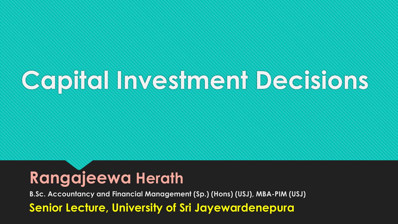# **Capital Investment Decisions**

#### **Rangajeewa Herath**

**B.Sc. Accountancy and Financial Management (Sp.) (Hons) (USJ), MBA-PIM (USJ) Senior Lecture, University of Sri Jayewardenepura**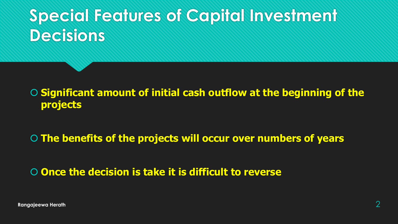### **Special Features of Capital Investment Decisions**

 **Significant amount of initial cash outflow at the beginning of the projects**

**The benefits of the projects will occur over numbers of years**

#### **Once the decision is take it is difficult to reverse**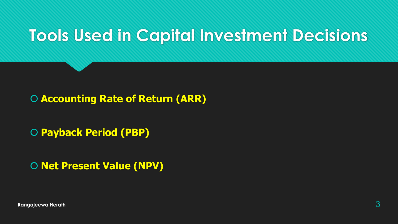#### **Tools Used in Capital Investment Decisions**

**Accounting Rate of Return (ARR)**

**Payback Period (PBP)**

**O Net Present Value (NPV)**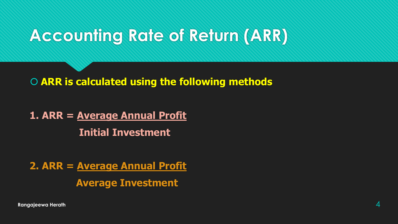### **Accounting Rate of Return (ARR)**

**ARR is calculated using the following methods**

**1. ARR = Average Annual Profit Initial Investment**

**2. ARR = Average Annual Profit Average Investment**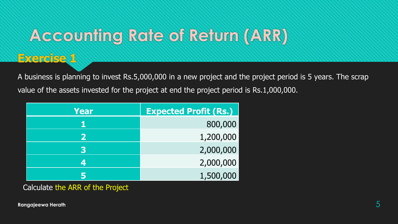### **Accounting Rate of Return (ARR)**

#### **Exercise 1**

A business is planning to invest Rs.5,000,000 in a new project and the project period is 5 years. The scrap value of the assets invested for the project at end the project period is Rs.1,000,000.

| Year         | <b>Expected Profit (Rs.)</b> |
|--------------|------------------------------|
|              | 800,000                      |
| $\mathbf{Z}$ | 1,200,000                    |
| 3            | 2,000,000                    |
| Δ.           | 2,000,000                    |
|              | 1,500,000                    |

Calculate the ARR of the Project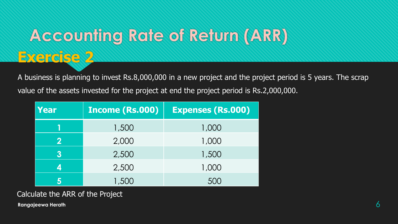## **Accounting Rate of Return (ARR)**

A business is planning to invest Rs.8,000,000 in a new project and the project period is 5 years. The scrap value of the assets invested for the project at end the project period is Rs.2,000,000.

| Year     | <b>Income (Rs.000)</b> | <b>Expenses (Rs.000)</b> |
|----------|------------------------|--------------------------|
|          | 1,500                  | 1,000                    |
| $\bf{2}$ | 2,000                  | 1,000                    |
| 3        | 2,500                  | 1,500                    |
| 4        | 2,500                  | 1,000                    |
|          | 1,500                  | 500                      |

**Exercise 2**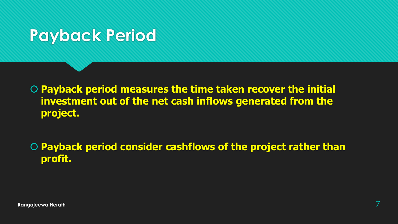#### **Payback Period**

 **Payback period measures the time taken recover the initial investment out of the net cash inflows generated from the project.**

 **Payback period consider cashflows of the project rather than profit.**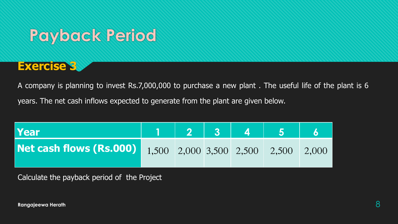#### **Payback Period**



A company is planning to invest Rs.7,000,000 to purchase a new plant . The useful life of the plant is 6 years. The net cash inflows expected to generate from the plant are given below.

| Year                                                        | 1 2 3 4 5 |  |  |  |
|-------------------------------------------------------------|-----------|--|--|--|
| Net cash flows (Rs.000) 1,500 2,000 3,500 2,500 2,500 2,000 |           |  |  |  |

Calculate the payback period of the Project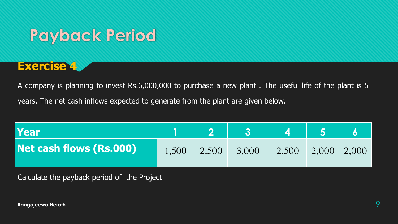#### **Payback Period**



A company is planning to invest Rs.6,000,000 to purchase a new plant . The useful life of the plant is 5 years. The net cash inflows expected to generate from the plant are given below.

| Year                    |       |       |       |       |                 |  |
|-------------------------|-------|-------|-------|-------|-----------------|--|
| Net cash flows (Rs.000) | 1,500 | 2,500 | 3,000 | 2,500 | $2,000$ $2,000$ |  |

Calculate the payback period of the Project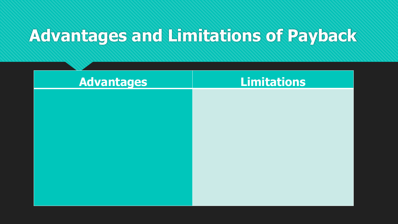#### **Advantages and Limitations of Payback**

| <b>Advantages</b> | <b>Limitations</b> |
|-------------------|--------------------|
|                   |                    |
|                   |                    |
|                   |                    |
|                   |                    |
|                   |                    |
|                   |                    |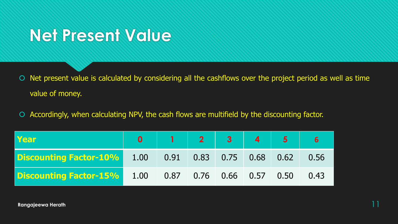#### **Net Present Value**

- O Net present value is calculated by considering all the cashflows over the project period as well as time value of money.
- Accordingly, when calculating NPV, the cash flows are multifield by the discounting factor.

| Year                                                                   |  |  |  |  |
|------------------------------------------------------------------------|--|--|--|--|
| <b>Discounting Factor-10%</b> 1.00 0.91 0.83 0.75 0.68 0.62 0.56       |  |  |  |  |
| <b>Discounting Factor-15%</b> 1.00  0.87  0.76  0.66  0.57  0.50  0.43 |  |  |  |  |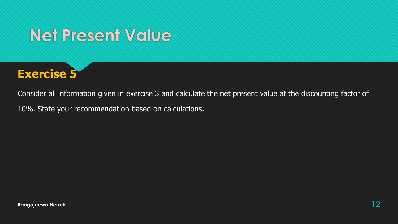#### **Net Present Value**



Consider all information given in exercise 3 and calculate the net present value at the discounting factor of

10%. State your recommendation based on calculations.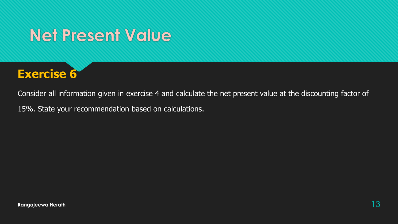#### **Net Present Value**



Consider all information given in exercise 4 and calculate the net present value at the discounting factor of

15%. State your recommendation based on calculations.